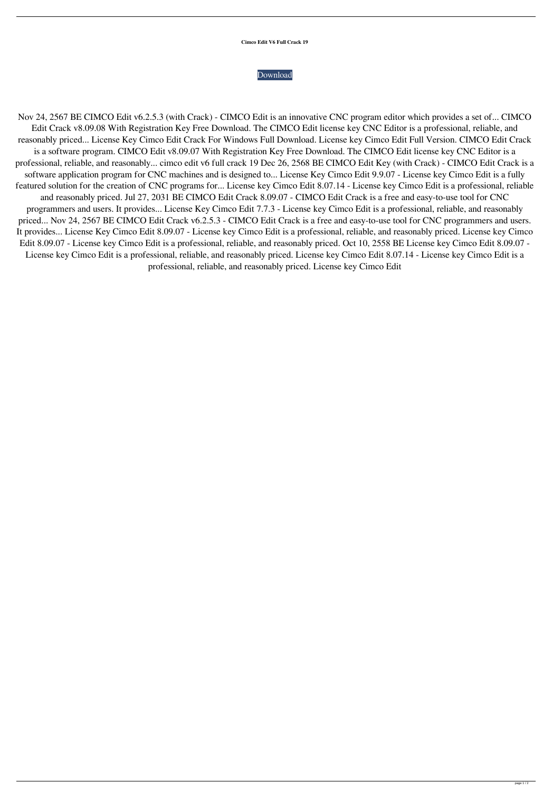## **Cimco Edit V6 Full Crack 19**

## [Download](http://evacdir.com/ZG93bmxvYWR8dHcwT0cxNmZId3hOalV5TnpRd09EWTJmSHd5TlRjMGZId29UU2tnY21WaFpDMWliRzluSUZ0R1lYTjBJRWRGVGww/angeles/public?Y2ltY28gZWRpdCB2NiBmdWxsIGNyYWNrIDE5Y2l=threaders.versed=nodding)

Nov 24, 2567 BE CIMCO Edit v6.2.5.3 (with Crack) - CIMCO Edit is an innovative CNC program editor which provides a set of... CIMCO Edit Crack v8.09.08 With Registration Key Free Download. The CIMCO Edit license key CNC Editor is a professional, reliable, and reasonably priced... License Key Cimco Edit Crack For Windows Full Download. License key Cimco Edit Full Version. CIMCO Edit Crack is a software program. CIMCO Edit v8.09.07 With Registration Key Free Download. The CIMCO Edit license key CNC Editor is a professional, reliable, and reasonably... cimco edit v6 full crack 19 Dec 26, 2568 BE CIMCO Edit Key (with Crack) - CIMCO Edit Crack is a software application program for CNC machines and is designed to... License Key Cimco Edit 9.9.07 - License key Cimco Edit is a fully featured solution for the creation of CNC programs for... License key Cimco Edit 8.07.14 - License key Cimco Edit is a professional, reliable and reasonably priced. Jul 27, 2031 BE CIMCO Edit Crack 8.09.07 - CIMCO Edit Crack is a free and easy-to-use tool for CNC programmers and users. It provides... License Key Cimco Edit 7.7.3 - License key Cimco Edit is a professional, reliable, and reasonably priced... Nov 24, 2567 BE CIMCO Edit Crack v6.2.5.3 - CIMCO Edit Crack is a free and easy-to-use tool for CNC programmers and users. It provides... License Key Cimco Edit 8.09.07 - License key Cimco Edit is a professional, reliable, and reasonably priced. License key Cimco Edit 8.09.07 - License key Cimco Edit is a professional, reliable, and reasonably priced. Oct 10, 2558 BE License key Cimco Edit 8.09.07 - License key Cimco Edit is a professional, reliable, and reasonably priced. License key Cimco Edit 8.07.14 - License key Cimco Edit is a professional, reliable, and reasonably priced. License key Cimco Edit